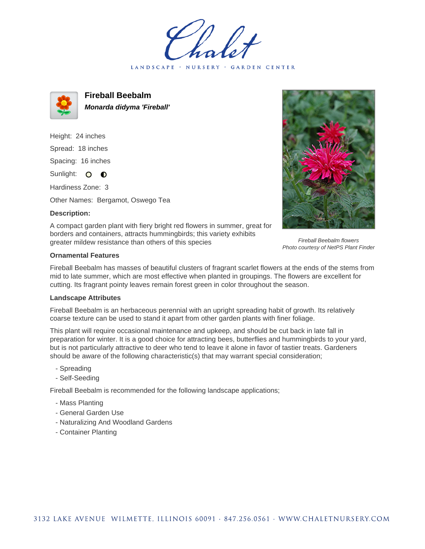LANDSCAPE · NURSERY GARDEN CENTER



**Fireball Beebalm Monarda didyma 'Fireball'**

Height: 24 inches Spread: 18 inches Spacing: 16 inches Sunlight: O **O** 

Hardiness Zone: 3

Other Names: Bergamot, Oswego Tea

## **Description:**



A compact garden plant with fiery bright red flowers in summer, great for borders and containers, attracts hummingbirds; this variety exhibits greater mildew resistance than others of this species

## **Ornamental Features**

Fireball Beebalm flowers Photo courtesy of NetPS Plant Finder

Fireball Beebalm has masses of beautiful clusters of fragrant scarlet flowers at the ends of the stems from mid to late summer, which are most effective when planted in groupings. The flowers are excellent for cutting. Its fragrant pointy leaves remain forest green in color throughout the season.

## **Landscape Attributes**

Fireball Beebalm is an herbaceous perennial with an upright spreading habit of growth. Its relatively coarse texture can be used to stand it apart from other garden plants with finer foliage.

This plant will require occasional maintenance and upkeep, and should be cut back in late fall in preparation for winter. It is a good choice for attracting bees, butterflies and hummingbirds to your yard, but is not particularly attractive to deer who tend to leave it alone in favor of tastier treats. Gardeners should be aware of the following characteristic(s) that may warrant special consideration;

- Spreading
- Self-Seeding

Fireball Beebalm is recommended for the following landscape applications;

- Mass Planting
- General Garden Use
- Naturalizing And Woodland Gardens
- Container Planting